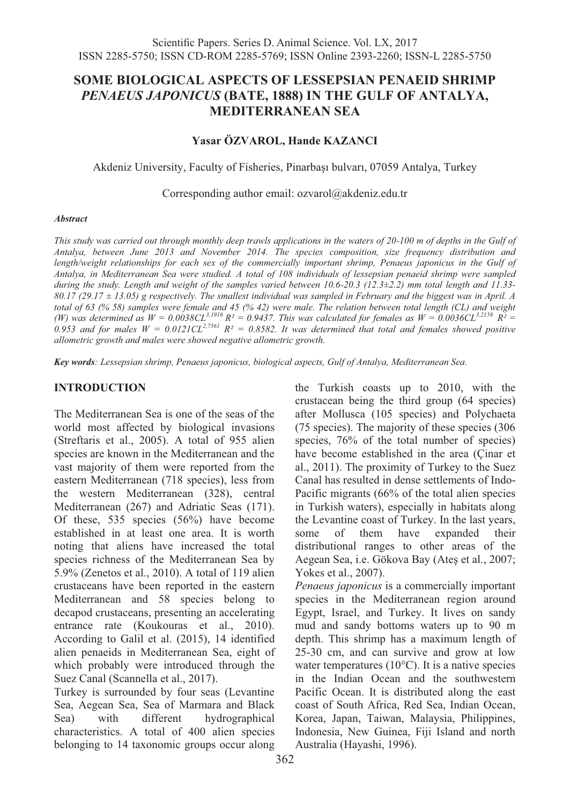# **SOME BIOLOGICAL ASPECTS OF LESSEPSIAN PENAEID SHRIMP**  *PENAEUS JAPONICUS* **(BATE, 1888) IN THE GULF OF ANTALYA, MEDITERRANEAN SEA**

# **Yasar ÖZVAROL, Hande KAZANCI**

Akdeniz University, Faculty of Fisheries, Pinarbaşı bulvarı, 07059 Antalya, Turkey

Corresponding author email: ozvarol@akdeniz.edu.tr

#### *Abstract*

*This study was carried out through monthly deep trawls applications in the waters of 20-100 m of depths in the Gulf of Antalya, between June 2013 and November 2014. The species composition, size frequency distribution and length/weight relationships for each sex of the commercially important shrimp, Penaeus japonicus in the Gulf of Antalya, in Mediterranean Sea were studied. A total of 108 individuals of lessepsian penaeid shrimp were sampled during the study. Length and weight of the samples varied between 10.6-20.3 (12.3±2.2) mm total length and 11.33- 80.17 (29.17 ± 13.05) g respectively. The smallest individual was sampled in February and the biggest was in April. A*  total of 63 (% 58) samples were female and 45 (% 42) were male. The relation between total length (CL) and weight<br>(W) was determined as  $W = 0.0038 \text{CL}^{3.1916} R^2 = 0.9437$ . This was calculated for females as  $W = 0.0036 \text{$ 0.953 and for males  $W = 0.0121 CL^{2.7561} R^2 = 0.8582$ . It was determined that total and females showed positive *allometric growth and males were showed negative allometric growth.* 

*Key words: Lessepsian shrimp, Penaeus japonicus, biological aspects, Gulf of Antalya, Mediterranean Sea.*

# **INTRODUCTION**

The Mediterranean Sea is one of the seas of the world most affected by biological invasions (Streftaris et al., 2005). A total of 955 alien species are known in the Mediterranean and the vast majority of them were reported from the eastern Mediterranean (718 species), less from the western Mediterranean (328), central Mediterranean (267) and Adriatic Seas (171). Of these, 535 species (56%) have become established in at least one area. It is worth noting that aliens have increased the total species richness of the Mediterranean Sea by 5.9% (Zenetos et al., 2010). A total of 119 alien crustaceans have been reported in the eastern Mediterranean and 58 species belong to decapod crustaceans, presenting an accelerating entrance rate (Koukouras et al., 2010). According to Galil et al. (2015), 14 identified alien penaeids in Mediterranean Sea, eight of which probably were introduced through the Suez Canal (Scannella et al., 2017).

Turkey is surrounded by four seas (Levantine Sea, Aegean Sea, Sea of Marmara and Black Sea) with different hydrographical characteristics. A total of 400 alien species belonging to 14 taxonomic groups occur along

the Turkish coasts up to 2010, with the crustacean being the third group (64 species) after Mollusca (105 species) and Polychaeta (75 species). The majority of these species (306 species,  $76\%$  of the total number of species) have become established in the area (Çinar et al., 2011). The proximity of Turkey to the Suez Canal has resulted in dense settlements of Indo-Pacific migrants (66% of the total alien species in Turkish waters), especially in habitats along the Levantine coast of Turkey. In the last years, some of them have expanded their distributional ranges to other areas of the Aegean Sea, i.e. Gökova Bay (Ateş et al., 2007; Yokes et al., 2007).

*Penaeus japonicus* is a commercially important species in the Mediterranean region around Egypt, Israel, and Turkey. It lives on sandy mud and sandy bottoms waters up to 90 m depth. This shrimp has a maximum length of 25-30 cm, and can survive and grow at low water temperatures (10°C). It is a native species in the Indian Ocean and the southwestern Pacific Ocean. It is distributed along the east coast of South Africa, Red Sea, Indian Ocean, Korea, Japan, Taiwan, Malaysia, Philippines, Indonesia, New Guinea, Fiji Island and north Australia (Hayashi, 1996).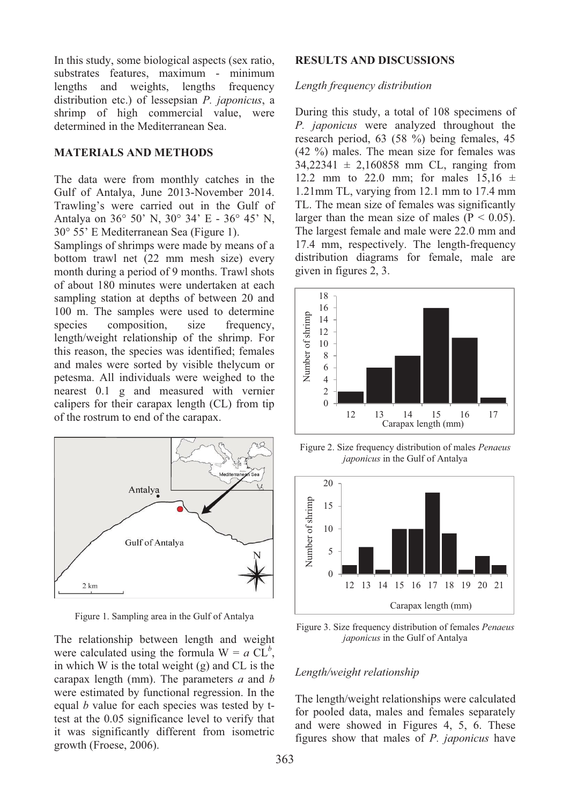In this study, some biological aspects (sex ratio, substrates features, maximum - minimum lengths and weights, lengths frequency distribution etc.) of lessepsian *P. japonicus*, a shrimp of high commercial value, were determined in the Mediterranean Sea.

## **MATERIALS AND METHODS**

The data were from monthly catches in the Gulf of Antalya, June 2013-November 2014. Trawling's were carried out in the Gulf of Antalya on 36° 50' N, 30° 34' E - 36° 45' N, 30° 55' E Mediterranean Sea (Figure 1).

Samplings of shrimps were made by means of a bottom trawl net (22 mm mesh size) every month during a period of 9 months. Trawl shots of about 180 minutes were undertaken at each sampling station at depths of between 20 and 100 m. The samples were used to determine species composition, size frequency, length/weight relationship of the shrimp. For this reason, the species was identified; females and males were sorted by visible thelycum or petesma. All individuals were weighed to the nearest 0.1 g and measured with vernier calipers for their carapax length (CL) from tip of the rostrum to end of the carapax.



Figure 1. Sampling area in the Gulf of Antalya

The relationship between length and weight were calculated using the formula  $W = a CL^b$ , in which W is the total weight (g) and CL is the carapax length (mm). The parameters *a* and *b*  were estimated by functional regression. In the equal *b* value for each species was tested by ttest at the 0.05 significance level to verify that it was significantly different from isometric growth (Froese, 2006).

## **RESULTS AND DISCUSSIONS**

#### *Length frequency distribution*

During this study, a total of 108 specimens of *P. japonicus* were analyzed throughout the research period, 63 (58 %) being females, 45 (42 %) males. The mean size for females was  $34,22341 \pm 2,160858$  mm CL, ranging from 12.2 mm to 22.0 mm; for males  $15,16 \pm 12$ 1.21mm TL, varying from 12.1 mm to 17.4 mm TL. The mean size of females was significantly larger than the mean size of males  $(P < 0.05)$ . The largest female and male were 22.0 mm and 17.4 mm, respectively. The length-frequency distribution diagrams for female, male are given in figures 2, 3.



Figure 2. Size frequency distribution of males *Penaeus japonicus* in the Gulf of Antalya



Figure 3. Size frequency distribution of females *Penaeus japonicus* in the Gulf of Antalya

#### *Length/weight relationship*

The length/weight relationships were calculated for pooled data, males and females separately and were showed in Figures 4, 5, 6. These figures show that males of *P. japonicus* have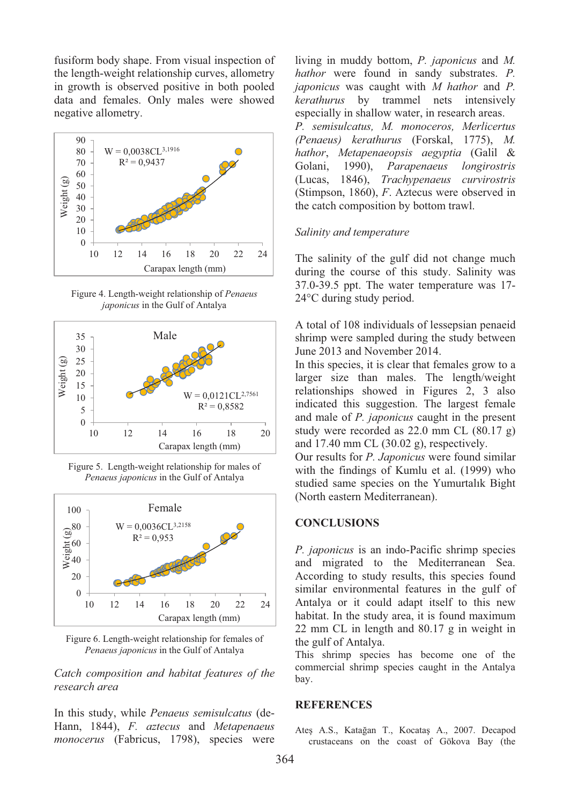fusiform body shape. From visual inspection of the length-weight relationship curves, allometry in growth is observed positive in both pooled data and females. Only males were showed negative allometry.



Figure 4. Length-weight relationship of *Penaeus japonicus* in the Gulf of Antalya







Figure 6. Length-weight relationship for females of *Penaeus japonicus* in the Gulf of Antalya

*Catch composition and habitat features of the research area* 

In this study, while *Penaeus semisulcatus* (de-Hann, 1844), *F. aztecus* and *Metapenaeus monocerus* (Fabricus, 1798), species were living in muddy bottom, *P. japonicus* and *M. hathor* were found in sandy substrates. *P. japonicus* was caught with *M hathor* and *P. kerathurus* by trammel nets intensively especially in shallow water, in research areas. *P. semisulcatus, M. monoceros, Merlicertus (Penaeus) kerathurus* (Forskal, 1775), *M. hathor*, *Metapenaeopsis aegyptia* (Galil & Golani, 1990), *Parapenaeus longirostris* (Lucas, 1846), *Trachypenaeus curvirostris* (Stimpson, 1860), *F*. Aztecus were observed in the catch composition by bottom trawl.

#### *Salinity and temperature*

The salinity of the gulf did not change much during the course of this study. Salinity was 37.0-39.5 ppt. The water temperature was 17- 24°C during study period.

A total of 108 individuals of lessepsian penaeid shrimp were sampled during the study between June 2013 and November 2014.

In this species, it is clear that females grow to a larger size than males. The length/weight relationships showed in Figures 2, 3 also indicated this suggestion. The largest female and male of *P. japonicus* caught in the present study were recorded as 22.0 mm CL (80.17 g) and 17.40 mm CL (30.02 g), respectively.

Our results for *P. Japonicus* were found similar with the findings of Kumlu et al. (1999) who studied same species on the Yumurtalık Bight (North eastern Mediterranean).

#### **CONCLUSIONS**

*P. japonicus* is an indo-Pacific shrimp species and migrated to the Mediterranean Sea. According to study results, this species found similar environmental features in the gulf of Antalya or it could adapt itself to this new habitat. In the study area, it is found maximum 22 mm CL in length and 80.17 g in weight in the gulf of Antalya.

This shrimp species has become one of the commercial shrimp species caught in the Antalya bay.

## **REFERENCES**

Ateş A.S., Katağan T., Kocataş A., 2007. Decapod crustaceans on the coast of Gökova Bay (the